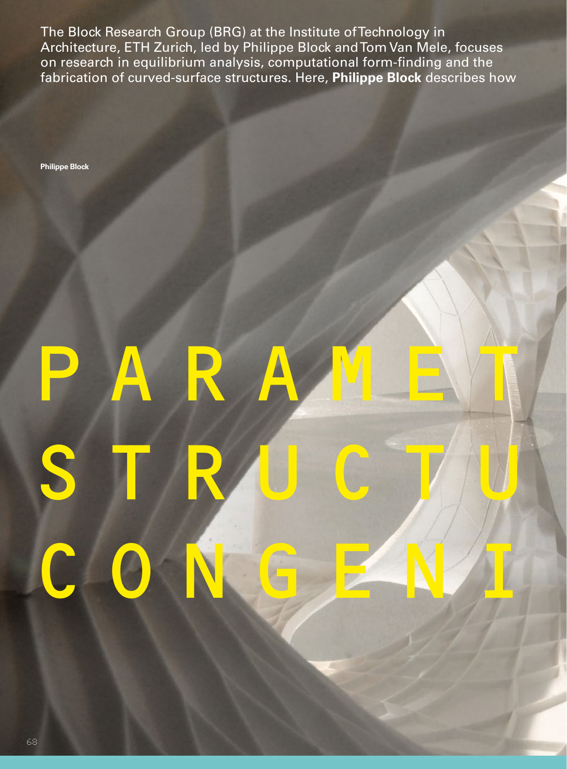The Block Research Group (BRG) at the Institute of Technology in Architecture, ETH Zurich, led by Philippe Block and Tom Van Mele, focuses on research in equilibrium analysis, computational form-finding and the fabrication of curved-surface structures. Here, **Philippe Block** describes how

**Philippe Block**

# PARAMEYR STRUCTU. CONGENI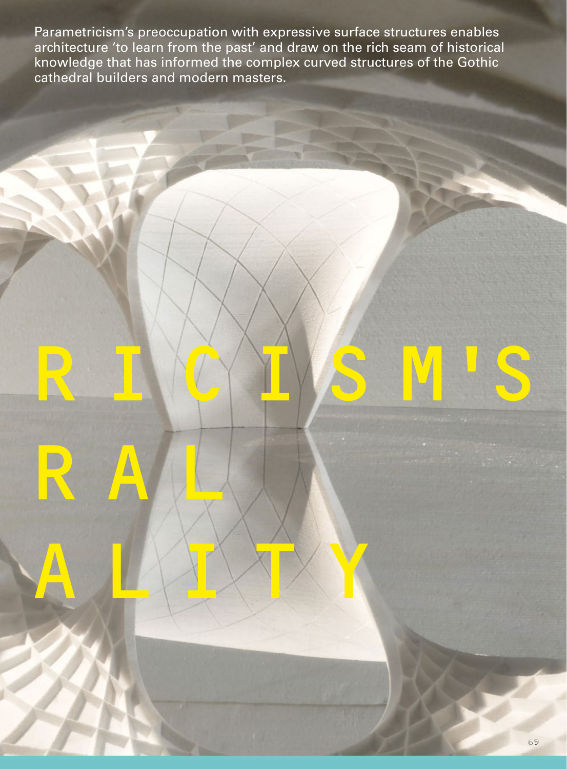Parametricism's preoccupation with expressive surface structures enables architecture 'to learn from the past' and draw on the rich seam of historical knowledge that has informed the complex curved structures of the Gothic cathedral builders and modern masters.

RICINS M'S

R A LU

**CONGENIERS**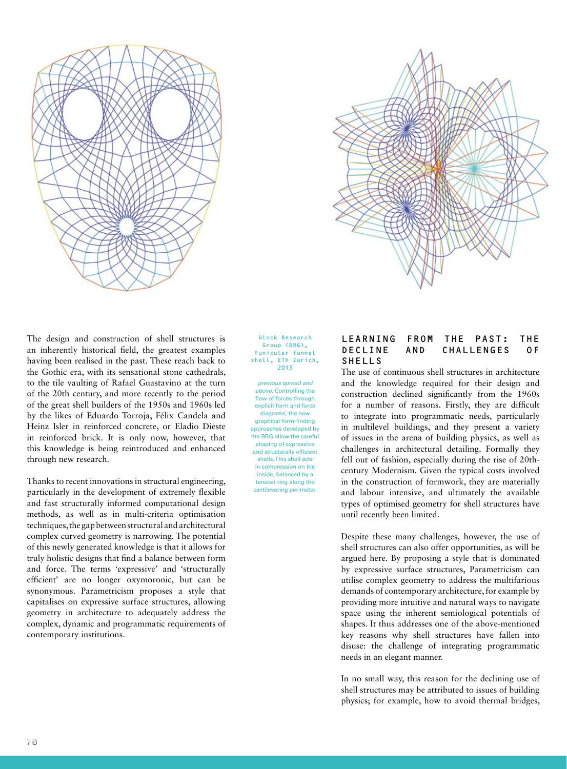



The design and construction of shell structures is an inherently historical field, the greatest examples having been realised in the past. These reach back to the Gothic era, with its sensational stone cathedrals, to the tile vaulting of Rafael Guastavino at the turn of the 20th century, and more recently to the period of the great shell builders of the 1950s and 1960s led by the likes of Eduardo Torroja, Félix Candela and Heinz Isler in reinforced concrete, or Eladio Dieste in reinforced brick. It is only now, however, that this knowledge is being reintroduced and enhanced through new research.

Thanks to recent innovations in structural engineering, particularly in the development of extremely flexible and fast structurally informed computational design methods, as well as in multi-criteria optimisation techniques, the gap between structural and architectural complex curved geometry is narrowing. The potential of this newly generated knowledge is that it allows for truly holistic designs that find a balance between form and force. The terms 'expressive' and 'structurally efficient' are no longer oxymoronic, but can be synonymous. Parametricism proposes a style that capitalises on expressive surface structures, allowing geometry in architecture to adequately address the complex, dynamic and programmatic requirements of contemporary institutions.

Block Research Group (BRG), Funicular funnel shell, ETH Zurich, 2013

*previous spread and above:* Controlling the flow of forces through explicit form and force diagrams, the new graphical form-finding approaches developed by the BRG allow the careful shaping of expressive and structurally efficient shells. This shell acts in compression on the inside, balanced by a tension ring along the cantilevering perimeter

## LEARNING FROM THE PAST: THE DECLINE AND CHALLENGES OF SHELLS

The use of continuous shell structures in architecture and the knowledge required for their design and construction declined significantly from the 1960s for a number of reasons. Firstly, they are difficult to integrate into programmatic needs, particularly in multilevel buildings, and they present a variety of issues in the arena of building physics, as well as challenges in architectural detailing. Formally they fell out of fashion, especially during the rise of 20thcentury Modernism. Given the typical costs involved in the construction of formwork, they are materially and labour intensive, and ultimately the available types of optimised geometry for shell structures have until recently been limited.

Despite these many challenges, however, the use of shell structures can also offer opportunities, as will be argued here. By proposing a style that is dominated by expressive surface structures, Parametricism can utilise complex geometry to address the multifarious demands of contemporary architecture, for example by providing more intuitive and natural ways to navigate space using the inherent semiological potentials of shapes. It thus addresses one of the above-mentioned key reasons why shell structures have fallen into disuse: the challenge of integrating programmatic needs in an elegant manner.

In no small way, this reason for the declining use of shell structures may be attributed to issues of building physics; for example, how to avoid thermal bridges,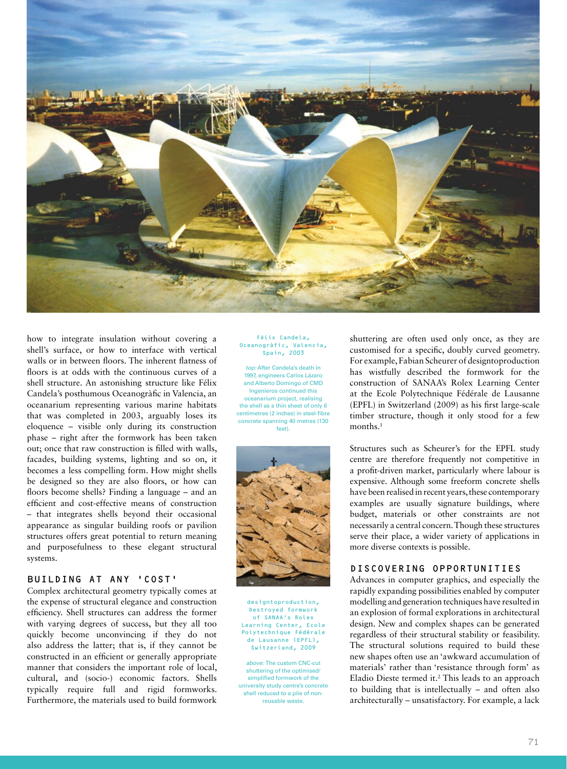

how to integrate insulation without covering a shell's surface, or how to interface with vertical walls or in between floors. The inherent flatness of floors is at odds with the continuous curves of a shell structure. An astonishing structure like Félix Candela's posthumous Oceanogràfic in Valencia, an oceanarium representing various marine habitats that was completed in 2003, arguably loses its eloquence – visible only during its construction phase – right after the formwork has been taken out; once that raw construction is filled with walls, facades, building systems, lighting and so on, it becomes a less compelling form. How might shells be designed so they are also floors, or how can floors become shells? Finding a language – and an efficient and cost-effective means of construction – that integrates shells beyond their occasional appearance as singular building roofs or pavilion structures offers great potential to return meaning and purposefulness to these elegant structural systems.

### BUILDING AT ANY 'COST'

Complex architectural geometry typically comes at the expense of structural elegance and construction efficiency. Shell structures can address the former with varying degrees of success, but they all too quickly become unconvincing if they do not also address the latter; that is, if they cannot be constructed in an efficient or generally appropriate manner that considers the important role of local, cultural, and (socio-) economic factors. Shells typically require full and rigid formworks. Furthermore, the materials used to build formwork

# Félix Candela, Oceanogràfic, Valencia, Spain, 2003

*top:* After Candela's death in 1997, engineers Carlos Lázaro and Alberto Domingo of CMD Ingenieros continued this oceanarium project, realising the shell as a thin sheet of only 6 centimetres (2 inches) in steel-fibre concrete spanning 40 metres (130 feet).



designtoproduction, Destroyed formwork of SANAA's Rolex Learning Center, Ecole Polytechnique Fédérale de Lausanne (EPFL), Switzerland, 2009

*above:* The custom CNC-cut shuttering of the optimised/ simplified formwork of the university study centre's concrete shell reduced to a pile of nonreusable waste.

shuttering are often used only once, as they are customised for a specific, doubly curved geometry. For example, Fabian Scheurer of designtoproduction has wistfully described the formwork for the construction of SANAA's Rolex Learning Center at the Ecole Polytechnique Fédérale de Lausanne  $(EPFL)$  in Switzerland (2009) as his first large-scale timber structure, though it only stood for a few months<sup>1</sup>

Structures such as Scheurer's for the EPFL study centre are therefore frequently not competitive in a profit-driven market, particularly where labour is expensive. Although some freeform concrete shells have been realised in recent years, these contemporary examples are usually signature buildings, where budget, materials or other constraints are not necessarily a central concern. Though these structures serve their place, a wider variety of applications in more diverse contexts is possible.

#### DISCOVERING OPPORTUNITIES

Advances in computer graphics, and especially the rapidly expanding possibilities enabled by computer modelling and generation techniques have resulted in an explosion of formal explorations in architectural design. New and complex shapes can be generated regardless of their structural stability or feasibility. The structural solutions required to build these new shapes often use an 'awkward accumulation of materials' rather than 'resistance through form' as Eladio Dieste termed it.<sup>2</sup> This leads to an approach to building that is intellectually – and often also architecturally – unsatisfactory. For example, a lack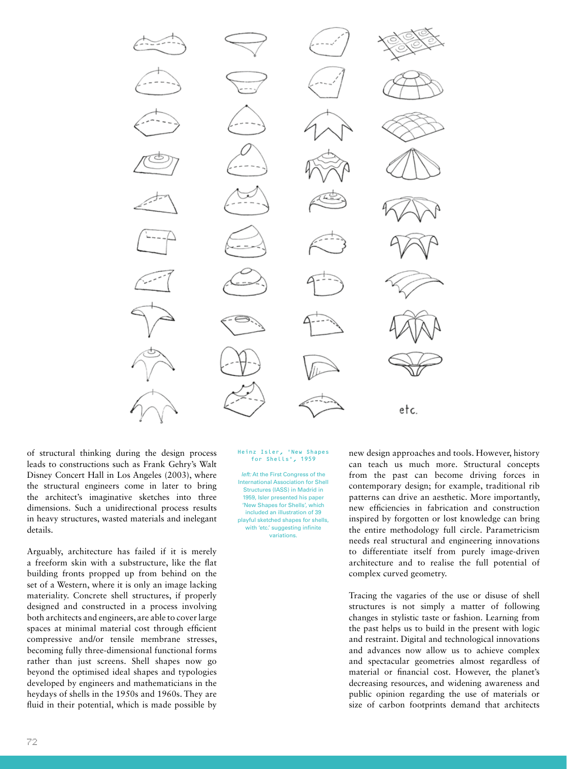

of structural thinking during the design process leads to constructions such as Frank Gehry's Walt Disney Concert Hall in Los Angeles (2003), where the structural engineers come in later to bring the architect's imaginative sketches into three dimensions. Such a unidirectional process results in heavy structures, wasted materials and inelegant details.

Arguably, architecture has failed if it is merely a freeform skin with a substructure, like the flat building fronts propped up from behind on the set of a Western, where it is only an image lacking materiality. Concrete shell structures, if properly designed and constructed in a process involving both architects and engineers, are able to cover large spaces at minimal material cost through efficient compressive and/or tensile membrane stresses, becoming fully three-dimensional functional forms rather than just screens. Shell shapes now go beyond the optimised ideal shapes and typologies developed by engineers and mathematicians in the heydays of shells in the 1950s and 1960s. They are fluid in their potential, which is made possible by

#### Heinz Isler, 'New Shapes for Shells', 1959

*left:* At the First Congress of the International Association for Shell Structures (IASS) in Madrid in 1959, Isler presented his paper 'New Shapes for Shells', which included an illustration of 39 playful sketched shapes for shells, with 'etc.' suggesting infinite variations.

new design approaches and tools. However, history can teach us much more. Structural concepts from the past can become driving forces in contemporary design; for example, traditional rib patterns can drive an aesthetic. More importantly, new efficiencies in fabrication and construction inspired by forgotten or lost knowledge can bring the entire methodology full circle. Parametricism needs real structural and engineering innovations to differentiate itself from purely image-driven architecture and to realise the full potential of complex curved geometry.

Tracing the vagaries of the use or disuse of shell structures is not simply a matter of following changes in stylistic taste or fashion. Learning from the past helps us to build in the present with logic and restraint. Digital and technological innovations and advances now allow us to achieve complex and spectacular geometries almost regardless of material or financial cost. However, the planet's decreasing resources, and widening awareness and public opinion regarding the use of materials or size of carbon footprints demand that architects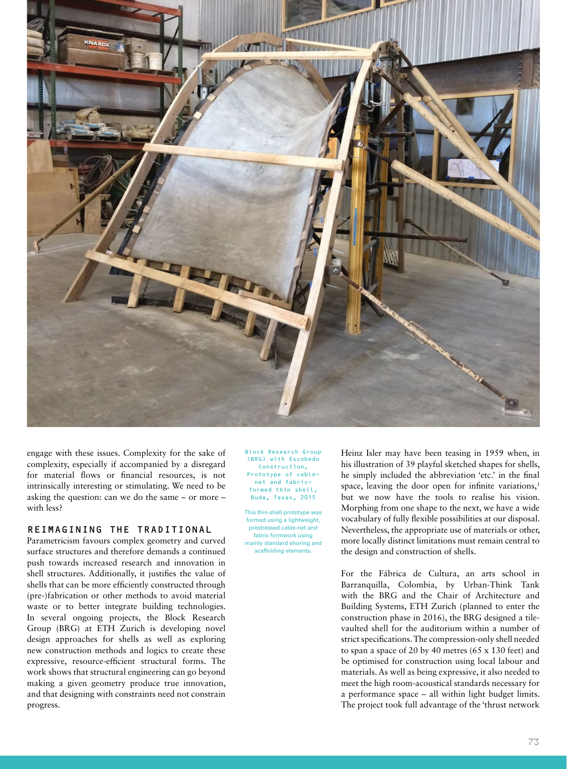

engage with these issues. Complexity for the sake of complexity, especially if accompanied by a disregard for material flows or financial resources, is not intrinsically interesting or stimulating. We need to be asking the question: can we do the same – or more – with less?

# REIMAGINING THE TRADITIONAL

Parametricism favours complex geometry and curved surface structures and therefore demands a continued push towards increased research and innovation in shell structures. Additionally, it justifies the value of shells that can be more efficiently constructed through (pre-)fabrication or other methods to avoid material waste or to better integrate building technologies. In several ongoing projects, the Block Research Group (BRG) at ETH Zurich is developing novel design approaches for shells as well as exploring new construction methods and logics to create these expressive, resource-efficient structural forms. The work shows that structural engineering can go beyond making a given geometry produce true innovation, and that designing with constraints need not constrain progress.

Block Research Group (BRG) with Escobedo Construction, Prototype of cablenet and fabricformed thin shell, Buda, Texas, 2015

This thin-shell prototype was formed using a lightweight, prestressed cable-net and fabric formwork using mainly standard shoring and scaffolding elements.

Heinz Isler may have been teasing in 1959 when, in his illustration of 39 playful sketched shapes for shells, he simply included the abbreviation 'etc.' in the final space, leaving the door open for infinite variations, $3$ but we now have the tools to realise his vision. Morphing from one shape to the next, we have a wide vocabulary of fully flexible possibilities at our disposal. Nevertheless, the appropriate use of materials or other, more locally distinct limitations must remain central to the design and construction of shells.

For the Fábrica de Cultura, an arts school in Barranquilla, Colombia, by Urban-Think Tank with the BRG and the Chair of Architecture and Building Systems, ETH Zurich (planned to enter the construction phase in 2016), the BRG designed a tilevaulted shell for the auditorium within a number of strict specifications. The compression-only shell needed to span a space of 20 by 40 metres (65 x 130 feet) and be optimised for construction using local labour and materials. As well as being expressive, it also needed to meet the high room-acoustical standards necessary for a performance space – all within light budget limits. The project took full advantage of the 'thrust network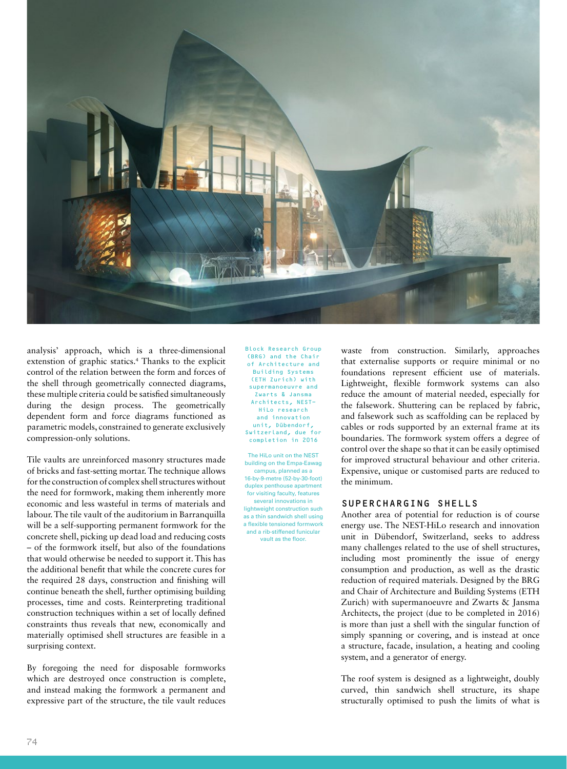

analysis' approach, which is a three-dimensional extenstion of graphic statics.<sup>4</sup> Thanks to the explicit control of the relation between the form and forces of the shell through geometrically connected diagrams, these multiple criteria could be satisfied simultaneously during the design process. The geometrically dependent form and force diagrams functioned as parametric models, constrained to generate exclusively compression-only solutions.

Tile vaults are unreinforced masonry structures made of bricks and fast-setting mortar. The technique allows for the construction of complex shell structures without the need for formwork, making them inherently more economic and less wasteful in terms of materials and labour. The tile vault of the auditorium in Barranquilla will be a self-supporting permanent formwork for the concrete shell, picking up dead load and reducing costs – of the formwork itself, but also of the foundations that would otherwise be needed to support it. This has the additional benefit that while the concrete cures for the required 28 days, construction and finishing will continue beneath the shell, further optimising building processes, time and costs. Reinterpreting traditional construction techniques within a set of locally defined constraints thus reveals that new, economically and materially optimised shell structures are feasible in a surprising context.

By foregoing the need for disposable formworks which are destroyed once construction is complete, and instead making the formwork a permanent and expressive part of the structure, the tile vault reduces Block Research Group (BRG) and the Chair of Architecture and Building Systems (ETH Zurich) with supermanoeuvre and Zwarts & Jansma Architects, NEST-HiLo research and innovation unit, Dübendorf, Switzerland, due for completion in 2016

The HiLo unit on the NEST building on the Empa-Eawag campus, planned as a 16-by-9-metre (52-by-30-foot) duplex penthouse apartment for visiting faculty, features several innovations in lightweight construction such as a thin sandwich shell using a flexible tensioned formwork and a rib-stiffened funicular vault as the floor.

waste from construction. Similarly, approaches that externalise supports or require minimal or no foundations represent efficient use of materials. Lightweight, flexible formwork systems can also reduce the amount of material needed, especially for the falsework. Shuttering can be replaced by fabric, and falsework such as scaffolding can be replaced by cables or rods supported by an external frame at its boundaries. The formwork system offers a degree of control over the shape so that it can be easily optimised for improved structural behaviour and other criteria. Expensive, unique or customised parts are reduced to the minimum.

# SUPERCHARGING SHELLS

Another area of potential for reduction is of course energy use. The NEST-HiLo research and innovation unit in Dübendorf, Switzerland, seeks to address many challenges related to the use of shell structures, including most prominently the issue of energy consumption and production, as well as the drastic reduction of required materials. Designed by the BRG and Chair of Architecture and Building Systems (ETH Zurich) with supermanoeuvre and Zwarts & Jansma Architects, the project (due to be completed in 2016) is more than just a shell with the singular function of simply spanning or covering, and is instead at once a structure, facade, insulation, a heating and cooling system, and a generator of energy.

The roof system is designed as a lightweight, doubly curved, thin sandwich shell structure, its shape structurally optimised to push the limits of what is